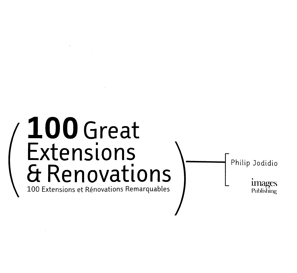